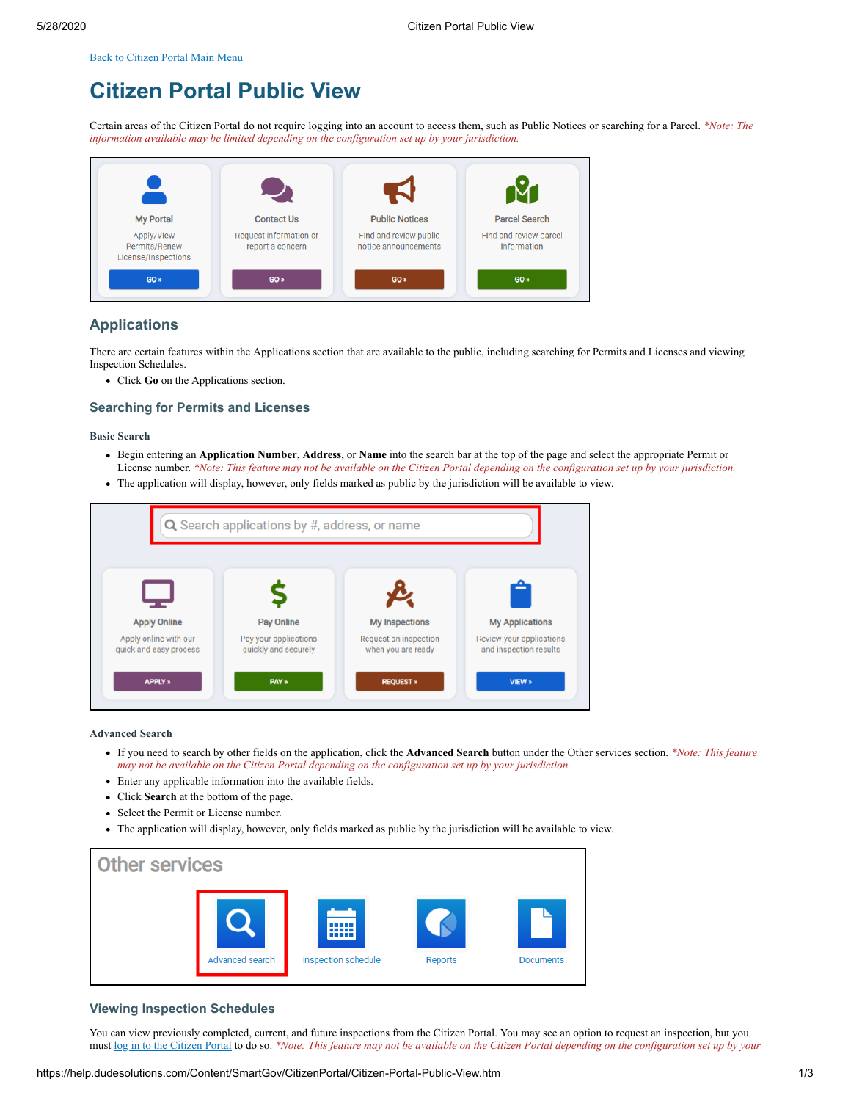<span id="page-0-2"></span>[Back to Citizen Portal Main Menu](https://help.dudesolutions.com/Content/SmartGov/CitizenPortal/Citizen-Portal.htm)

# **Citizen Portal Public View**

Certain areas of the Citizen Portal do not require logging into an account to access them, such as Public Notices or searching for a Parcel. *\*Note: The information available may be limited depending on the configuration set up by your jurisdiction.*



## **Applications**

There are certain features within the Applications section that are available to the public, including searching for Permits and Licenses and viewing Inspection Schedules.

Click **Go** on the Applications section.

#### **Searching for Permits and Licenses**

**Basic Search**

- Begin entering an **Application Number**, **Address**, or **Name** into the search bar at the top of the page and select the appropriate Permit or License number. *\*Note: This feature may not be available on the Citizen Portal depending on the configuration set up by your jurisdiction.*
- The application will display, however, only fields marked as public by the jurisdiction will be available to view.



#### <span id="page-0-0"></span>**Advanced Search**

- If you need to search by other fields on the application, click the **Advanced Search** button under the Other services section. *\*Note: This feature may not be available on the Citizen Portal depending on the configuration set up by your jurisdiction.*
- Enter any applicable information into the available fields.
- Click **Search** at the bottom of the page.
- Select the Permit or License number.
- The application will display, however, only fields marked as public by the jurisdiction will be available to view.



### <span id="page-0-1"></span>**Viewing Inspection Schedules**

You can view previously completed, current, and future inspections from the Citizen Portal. You may see an option to request an inspection, but you must [log in to the Citizen Portal](https://help.dudesolutions.com/Content/SmartGov/CitizenPortal/Citizen-Portal-Registration-And-Login.htm#How2) to do so. *\*Note: This feature may not be available on the Citizen Portal depending on the configuration set up by your*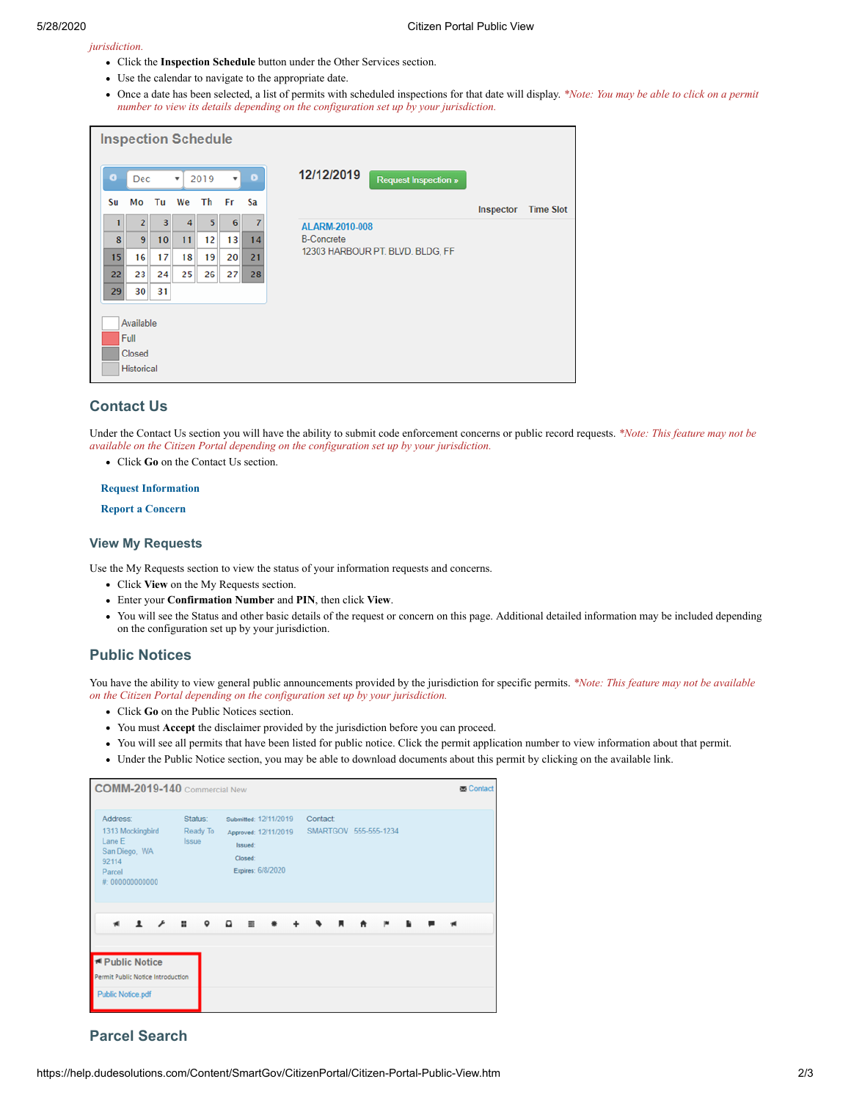#### *jurisdiction.*

- Click the **Inspection Schedule** button under the Other Services section.
- Use the calendar to navigate to the appropriate date.
- Once a date has been selected, a list of permits with scheduled inspections for that date will display. *\*Note: You may be able to click on a permit number to view its details depending on the configuration set up by your jurisdiction.*

| <b>Inspection Schedule</b> |                                                  |    |    |    |    |                |                                           |           |                  |  |  |  |  |
|----------------------------|--------------------------------------------------|----|----|----|----|----------------|-------------------------------------------|-----------|------------------|--|--|--|--|
| $\bullet$                  | $\bullet$<br>2019<br>Dec<br>4<br>$\mathbf{v}$    |    |    |    |    |                | 12/12/2019<br><b>Request Inspection »</b> |           |                  |  |  |  |  |
| Su                         | Mo                                               | Tu | We | Тh | Fr | Sa             |                                           | Inspector | <b>Time Slot</b> |  |  |  |  |
|                            | $\overline{2}$                                   | 3  | 4  | 5  | 6  | $\overline{7}$ | ALARM-2010-008                            |           |                  |  |  |  |  |
| 8                          | $\overline{9}$                                   | 10 | 11 | 12 | 13 | 14             | <b>B-Concrete</b>                         |           |                  |  |  |  |  |
| 15                         | 16                                               | 17 | 18 | 19 | 20 | 21             | 12303 HARBOUR PT. BLVD. BLDG, FF          |           |                  |  |  |  |  |
| 22                         | 23                                               | 24 | 25 | 26 | 27 | 28             |                                           |           |                  |  |  |  |  |
| 29                         | 30 <sup>1</sup>                                  | 31 |    |    |    |                |                                           |           |                  |  |  |  |  |
|                            | Available<br>Full<br>Closed<br><b>Historical</b> |    |    |    |    |                |                                           |           |                  |  |  |  |  |

## **Contact Us**

Under the Contact Us section you will have the ability to submit code enforcement concerns or public record requests. *\*Note: This feature may not be available on the Citizen Portal depending on the configuration set up by your jurisdiction.*

Click **Go** on the Contact Us section.

#### **Request Information**

**Report a Concern**

### **View My Requests**

Use the My Requests section to view the status of your information requests and concerns.

- Click **View** on the My Requests section.
- Enter your **Confirmation Number** and **PIN**, then click **View**.
- You will see the Status and other basic details of the request or concern on this page. Additional detailed information may be included depending on the configuration set up by your jurisdiction.

## **Public Notices**

You have the ability to view general public announcements provided by the jurisdiction for specific permits. *\*Note: This feature may not be available on the Citizen Portal depending on the configuration set up by your jurisdiction.*

- Click **Go** on the Public Notices section.
- You must **Accept** the disclaimer provided by the jurisdiction before you can proceed.
- You will see all permits that have been listed for public notice. Click the permit application number to view information about that permit.
- Under the Public Notice section, you may be able to download documents about this permit by clicking on the available link.

| COMM-2019-140 Commercial New                                                                 |                                                |                                                                               |  |                       |  |  |  |  |  |  |  |  |
|----------------------------------------------------------------------------------------------|------------------------------------------------|-------------------------------------------------------------------------------|--|-----------------------|--|--|--|--|--|--|--|--|
| Address:<br>1313 Mockingbird<br>Lane E<br>San Diego, WA<br>92114<br>Parcel<br># 000000000000 | Status:<br>Ready To<br><b>Issue</b><br>Issued: | Submitted: 12/11/2019<br>Approved: 12/11/2019<br>Closed:<br>Expires: 6/8/2020 |  | SMARTGOV 555-555-1234 |  |  |  |  |  |  |  |  |
| $\mathbf{H}$                                                                                 | ۵<br>$\circ$                                   |                                                                               |  |                       |  |  |  |  |  |  |  |  |
| <sup>■</sup> Public Notice<br>Permit Public Notice Introduction                              |                                                |                                                                               |  |                       |  |  |  |  |  |  |  |  |
|                                                                                              |                                                |                                                                               |  |                       |  |  |  |  |  |  |  |  |
| <b>Public Notice.pdf</b>                                                                     |                                                |                                                                               |  |                       |  |  |  |  |  |  |  |  |

## **Parcel Search**